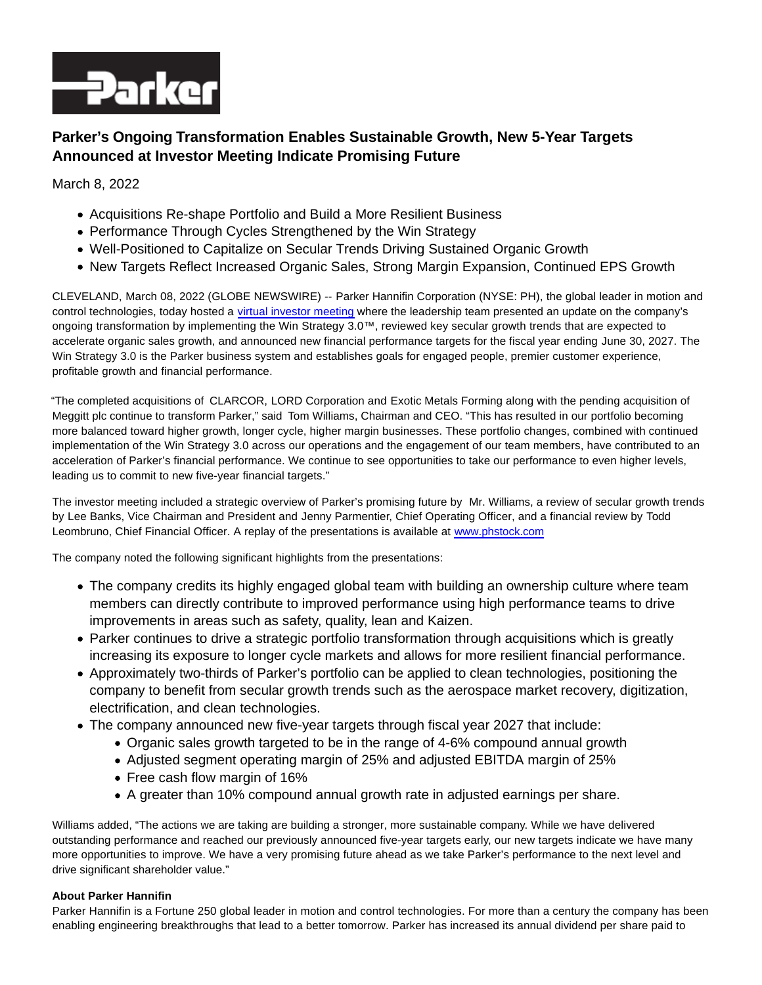

# **Parker's Ongoing Transformation Enables Sustainable Growth, New 5-Year Targets Announced at Investor Meeting Indicate Promising Future**

March 8, 2022

- Acquisitions Re-shape Portfolio and Build a More Resilient Business
- Performance Through Cycles Strengthened by the Win Strategy
- Well-Positioned to Capitalize on Secular Trends Driving Sustained Organic Growth
- New Targets Reflect Increased Organic Sales, Strong Margin Expansion, Continued EPS Growth

CLEVELAND, March 08, 2022 (GLOBE NEWSWIRE) -- Parker Hannifin Corporation (NYSE: PH), the global leader in motion and control technologies, today hosted a [virtual investor meeting w](https://www.globenewswire.com/Tracker?data=0yhLvRayud0U_roLmoCGYlCOcj0-WTHuBJaYZMvWnsCpGD8tlUCKTpSW-xVdnAMq4X06FXahW5KqZ2tS69cf0Vyy2E9gRERvBXjjQ1Bn_6w=)here the leadership team presented an update on the company's ongoing transformation by implementing the Win Strategy 3.0™, reviewed key secular growth trends that are expected to accelerate organic sales growth, and announced new financial performance targets for the fiscal year ending June 30, 2027. The Win Strategy 3.0 is the Parker business system and establishes goals for engaged people, premier customer experience, profitable growth and financial performance.

"The completed acquisitions of CLARCOR, LORD Corporation and Exotic Metals Forming along with the pending acquisition of Meggitt plc continue to transform Parker," said Tom Williams, Chairman and CEO. "This has resulted in our portfolio becoming more balanced toward higher growth, longer cycle, higher margin businesses. These portfolio changes, combined with continued implementation of the Win Strategy 3.0 across our operations and the engagement of our team members, have contributed to an acceleration of Parker's financial performance. We continue to see opportunities to take our performance to even higher levels, leading us to commit to new five-year financial targets."

The investor meeting included a strategic overview of Parker's promising future by Mr. Williams, a review of secular growth trends by Lee Banks, Vice Chairman and President and Jenny Parmentier, Chief Operating Officer, and a financial review by Todd Leombruno, Chief Financial Officer. A replay of the presentations is available at [www.phstock.com](https://www.globenewswire.com/Tracker?data=qSDy0irtIWH0hxewYB2aSUQ4CKX1BHC0S0iUY3jt1XFWFJ1l3qjaFb6iJeC1bMILZCcwhlz6HET7trRL8ihClw==)

The company noted the following significant highlights from the presentations:

- The company credits its highly engaged global team with building an ownership culture where team members can directly contribute to improved performance using high performance teams to drive improvements in areas such as safety, quality, lean and Kaizen.
- Parker continues to drive a strategic portfolio transformation through acquisitions which is greatly increasing its exposure to longer cycle markets and allows for more resilient financial performance.
- Approximately two-thirds of Parker's portfolio can be applied to clean technologies, positioning the company to benefit from secular growth trends such as the aerospace market recovery, digitization, electrification, and clean technologies.
- The company announced new five-year targets through fiscal year 2027 that include:
	- Organic sales growth targeted to be in the range of 4-6% compound annual growth
	- Adjusted segment operating margin of 25% and adjusted EBITDA margin of 25%
	- Free cash flow margin of 16%
	- A greater than 10% compound annual growth rate in adjusted earnings per share.

Williams added, "The actions we are taking are building a stronger, more sustainable company. While we have delivered outstanding performance and reached our previously announced five-year targets early, our new targets indicate we have many more opportunities to improve. We have a very promising future ahead as we take Parker's performance to the next level and drive significant shareholder value."

## **About Parker Hannifin**

Parker Hannifin is a Fortune 250 global leader in motion and control technologies. For more than a century the company has been enabling engineering breakthroughs that lead to a better tomorrow. Parker has increased its annual dividend per share paid to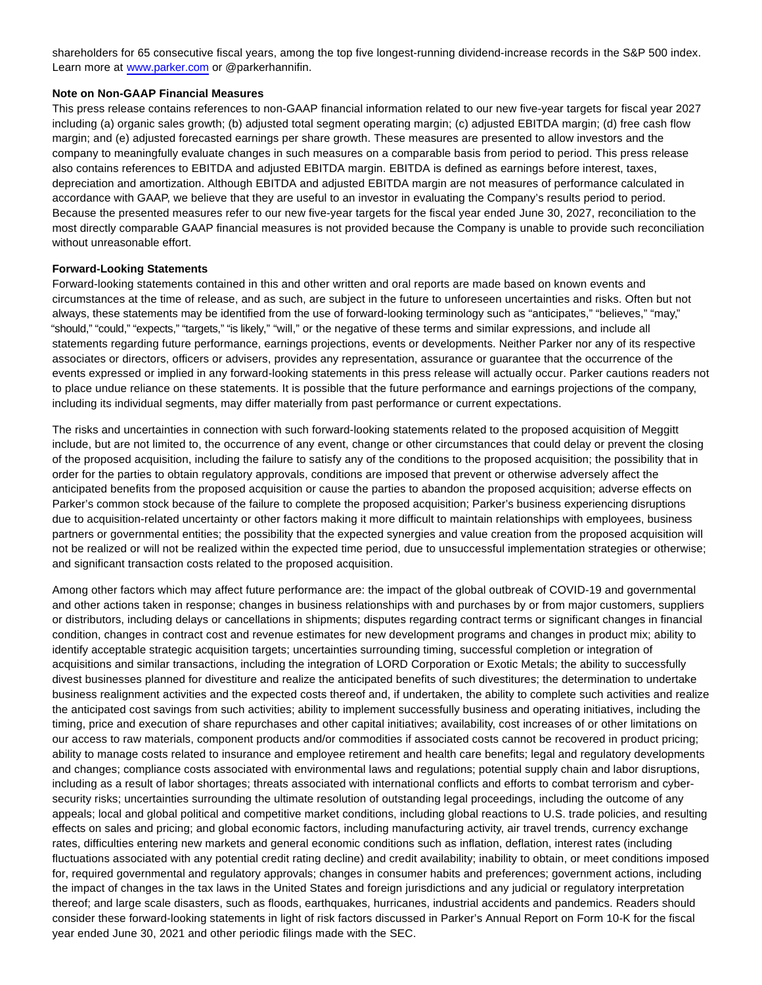shareholders for 65 consecutive fiscal years, among the top five longest-running dividend-increase records in the S&P 500 index. Learn more at [www.parker.com o](https://www.globenewswire.com/Tracker?data=TVDcdtmma93rZX8v788gjQjxRYZlRWUOVyt2J2mGzwgQ9sPBK3ibDzFImI2SfRjtDaMijvkEvN3yNR7wvr1uJQ==)r @parkerhannifin.

### **Note on Non-GAAP Financial Measures**

This press release contains references to non-GAAP financial information related to our new five-year targets for fiscal year 2027 including (a) organic sales growth; (b) adjusted total segment operating margin; (c) adjusted EBITDA margin; (d) free cash flow margin; and (e) adjusted forecasted earnings per share growth. These measures are presented to allow investors and the company to meaningfully evaluate changes in such measures on a comparable basis from period to period. This press release also contains references to EBITDA and adjusted EBITDA margin. EBITDA is defined as earnings before interest, taxes, depreciation and amortization. Although EBITDA and adjusted EBITDA margin are not measures of performance calculated in accordance with GAAP, we believe that they are useful to an investor in evaluating the Company's results period to period. Because the presented measures refer to our new five-year targets for the fiscal year ended June 30, 2027, reconciliation to the most directly comparable GAAP financial measures is not provided because the Company is unable to provide such reconciliation without unreasonable effort.

#### **Forward-Looking Statements**

Forward-looking statements contained in this and other written and oral reports are made based on known events and circumstances at the time of release, and as such, are subject in the future to unforeseen uncertainties and risks. Often but not always, these statements may be identified from the use of forward-looking terminology such as "anticipates," "believes," "may," "should," "could," "expects," "targets," "is likely," "will," or the negative of these terms and similar expressions, and include all statements regarding future performance, earnings projections, events or developments. Neither Parker nor any of its respective associates or directors, officers or advisers, provides any representation, assurance or guarantee that the occurrence of the events expressed or implied in any forward-looking statements in this press release will actually occur. Parker cautions readers not to place undue reliance on these statements. It is possible that the future performance and earnings projections of the company, including its individual segments, may differ materially from past performance or current expectations.

The risks and uncertainties in connection with such forward-looking statements related to the proposed acquisition of Meggitt include, but are not limited to, the occurrence of any event, change or other circumstances that could delay or prevent the closing of the proposed acquisition, including the failure to satisfy any of the conditions to the proposed acquisition; the possibility that in order for the parties to obtain regulatory approvals, conditions are imposed that prevent or otherwise adversely affect the anticipated benefits from the proposed acquisition or cause the parties to abandon the proposed acquisition; adverse effects on Parker's common stock because of the failure to complete the proposed acquisition; Parker's business experiencing disruptions due to acquisition-related uncertainty or other factors making it more difficult to maintain relationships with employees, business partners or governmental entities; the possibility that the expected synergies and value creation from the proposed acquisition will not be realized or will not be realized within the expected time period, due to unsuccessful implementation strategies or otherwise; and significant transaction costs related to the proposed acquisition.

Among other factors which may affect future performance are: the impact of the global outbreak of COVID-19 and governmental and other actions taken in response; changes in business relationships with and purchases by or from major customers, suppliers or distributors, including delays or cancellations in shipments; disputes regarding contract terms or significant changes in financial condition, changes in contract cost and revenue estimates for new development programs and changes in product mix; ability to identify acceptable strategic acquisition targets; uncertainties surrounding timing, successful completion or integration of acquisitions and similar transactions, including the integration of LORD Corporation or Exotic Metals; the ability to successfully divest businesses planned for divestiture and realize the anticipated benefits of such divestitures; the determination to undertake business realignment activities and the expected costs thereof and, if undertaken, the ability to complete such activities and realize the anticipated cost savings from such activities; ability to implement successfully business and operating initiatives, including the timing, price and execution of share repurchases and other capital initiatives; availability, cost increases of or other limitations on our access to raw materials, component products and/or commodities if associated costs cannot be recovered in product pricing; ability to manage costs related to insurance and employee retirement and health care benefits; legal and regulatory developments and changes; compliance costs associated with environmental laws and regulations; potential supply chain and labor disruptions, including as a result of labor shortages; threats associated with international conflicts and efforts to combat terrorism and cybersecurity risks; uncertainties surrounding the ultimate resolution of outstanding legal proceedings, including the outcome of any appeals; local and global political and competitive market conditions, including global reactions to U.S. trade policies, and resulting effects on sales and pricing; and global economic factors, including manufacturing activity, air travel trends, currency exchange rates, difficulties entering new markets and general economic conditions such as inflation, deflation, interest rates (including fluctuations associated with any potential credit rating decline) and credit availability; inability to obtain, or meet conditions imposed for, required governmental and regulatory approvals; changes in consumer habits and preferences; government actions, including the impact of changes in the tax laws in the United States and foreign jurisdictions and any judicial or regulatory interpretation thereof; and large scale disasters, such as floods, earthquakes, hurricanes, industrial accidents and pandemics. Readers should consider these forward-looking statements in light of risk factors discussed in Parker's Annual Report on Form 10-K for the fiscal year ended June 30, 2021 and other periodic filings made with the SEC.